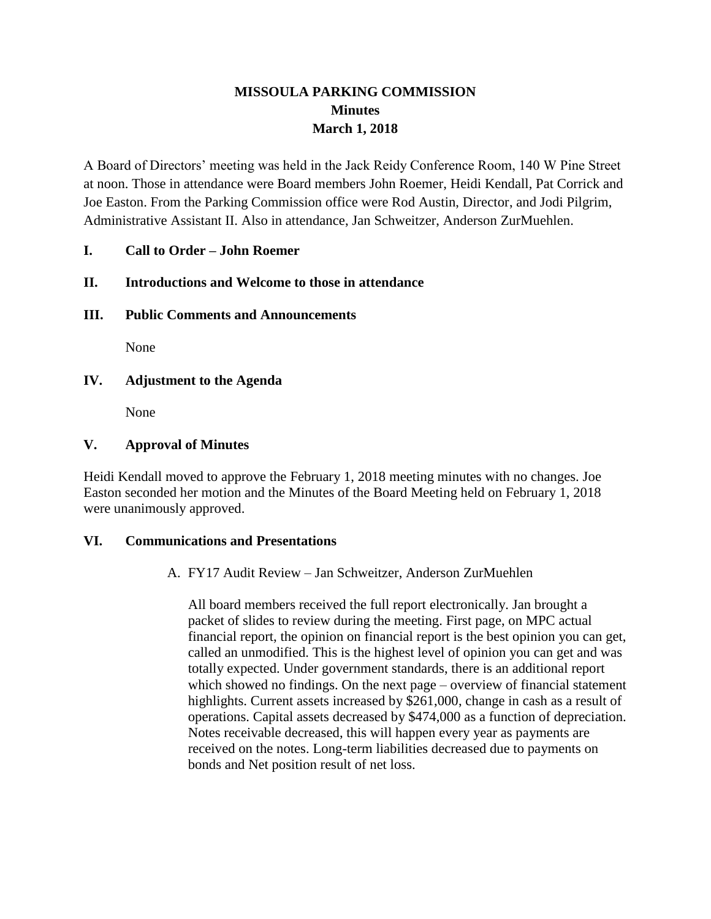# **MISSOULA PARKING COMMISSION Minutes March 1, 2018**

A Board of Directors' meeting was held in the Jack Reidy Conference Room, 140 W Pine Street at noon. Those in attendance were Board members John Roemer, Heidi Kendall, Pat Corrick and Joe Easton. From the Parking Commission office were Rod Austin, Director, and Jodi Pilgrim, Administrative Assistant II. Also in attendance, Jan Schweitzer, Anderson ZurMuehlen.

# **I. Call to Order – John Roemer**

# **II. Introductions and Welcome to those in attendance**

# **III. Public Comments and Announcements**

None

# **IV. Adjustment to the Agenda**

None

# **V. Approval of Minutes**

Heidi Kendall moved to approve the February 1, 2018 meeting minutes with no changes. Joe Easton seconded her motion and the Minutes of the Board Meeting held on February 1, 2018 were unanimously approved.

#### **VI. Communications and Presentations**

A. FY17 Audit Review – Jan Schweitzer, Anderson ZurMuehlen

All board members received the full report electronically. Jan brought a packet of slides to review during the meeting. First page, on MPC actual financial report, the opinion on financial report is the best opinion you can get, called an unmodified. This is the highest level of opinion you can get and was totally expected. Under government standards, there is an additional report which showed no findings. On the next page – overview of financial statement highlights. Current assets increased by \$261,000, change in cash as a result of operations. Capital assets decreased by \$474,000 as a function of depreciation. Notes receivable decreased, this will happen every year as payments are received on the notes. Long-term liabilities decreased due to payments on bonds and Net position result of net loss.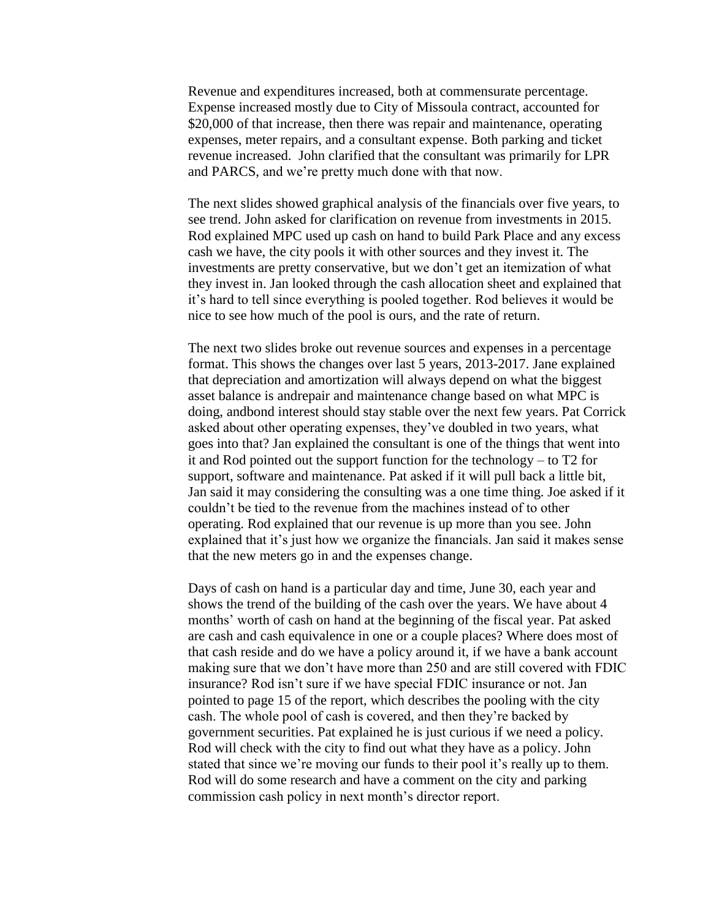Revenue and expenditures increased, both at commensurate percentage. Expense increased mostly due to City of Missoula contract, accounted for \$20,000 of that increase, then there was repair and maintenance, operating expenses, meter repairs, and a consultant expense. Both parking and ticket revenue increased. John clarified that the consultant was primarily for LPR and PARCS, and we're pretty much done with that now.

The next slides showed graphical analysis of the financials over five years, to see trend. John asked for clarification on revenue from investments in 2015. Rod explained MPC used up cash on hand to build Park Place and any excess cash we have, the city pools it with other sources and they invest it. The investments are pretty conservative, but we don't get an itemization of what they invest in. Jan looked through the cash allocation sheet and explained that it's hard to tell since everything is pooled together. Rod believes it would be nice to see how much of the pool is ours, and the rate of return.

The next two slides broke out revenue sources and expenses in a percentage format. This shows the changes over last 5 years, 2013-2017. Jane explained that depreciation and amortization will always depend on what the biggest asset balance is andrepair and maintenance change based on what MPC is doing, andbond interest should stay stable over the next few years. Pat Corrick asked about other operating expenses, they've doubled in two years, what goes into that? Jan explained the consultant is one of the things that went into it and Rod pointed out the support function for the technology – to T2 for support, software and maintenance. Pat asked if it will pull back a little bit, Jan said it may considering the consulting was a one time thing. Joe asked if it couldn't be tied to the revenue from the machines instead of to other operating. Rod explained that our revenue is up more than you see. John explained that it's just how we organize the financials. Jan said it makes sense that the new meters go in and the expenses change.

Days of cash on hand is a particular day and time, June 30, each year and shows the trend of the building of the cash over the years. We have about 4 months' worth of cash on hand at the beginning of the fiscal year. Pat asked are cash and cash equivalence in one or a couple places? Where does most of that cash reside and do we have a policy around it, if we have a bank account making sure that we don't have more than 250 and are still covered with FDIC insurance? Rod isn't sure if we have special FDIC insurance or not. Jan pointed to page 15 of the report, which describes the pooling with the city cash. The whole pool of cash is covered, and then they're backed by government securities. Pat explained he is just curious if we need a policy. Rod will check with the city to find out what they have as a policy. John stated that since we're moving our funds to their pool it's really up to them. Rod will do some research and have a comment on the city and parking commission cash policy in next month's director report.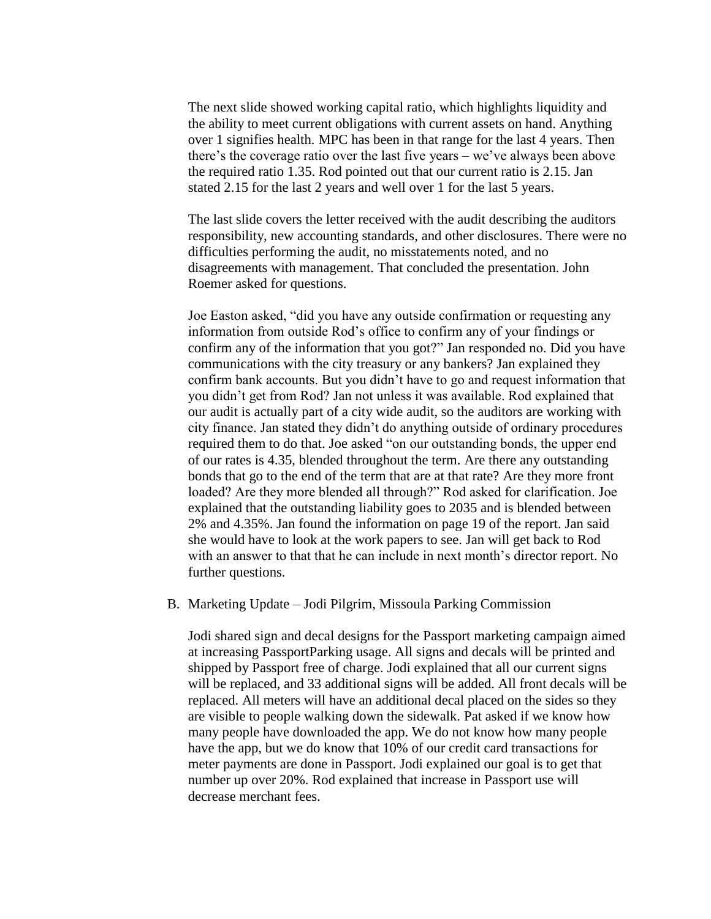The next slide showed working capital ratio, which highlights liquidity and the ability to meet current obligations with current assets on hand. Anything over 1 signifies health. MPC has been in that range for the last 4 years. Then there's the coverage ratio over the last five years – we've always been above the required ratio 1.35. Rod pointed out that our current ratio is 2.15. Jan stated 2.15 for the last 2 years and well over 1 for the last 5 years.

The last slide covers the letter received with the audit describing the auditors responsibility, new accounting standards, and other disclosures. There were no difficulties performing the audit, no misstatements noted, and no disagreements with management. That concluded the presentation. John Roemer asked for questions.

Joe Easton asked, "did you have any outside confirmation or requesting any information from outside Rod's office to confirm any of your findings or confirm any of the information that you got?" Jan responded no. Did you have communications with the city treasury or any bankers? Jan explained they confirm bank accounts. But you didn't have to go and request information that you didn't get from Rod? Jan not unless it was available. Rod explained that our audit is actually part of a city wide audit, so the auditors are working with city finance. Jan stated they didn't do anything outside of ordinary procedures required them to do that. Joe asked "on our outstanding bonds, the upper end of our rates is 4.35, blended throughout the term. Are there any outstanding bonds that go to the end of the term that are at that rate? Are they more front loaded? Are they more blended all through?" Rod asked for clarification. Joe explained that the outstanding liability goes to 2035 and is blended between 2% and 4.35%. Jan found the information on page 19 of the report. Jan said she would have to look at the work papers to see. Jan will get back to Rod with an answer to that that he can include in next month's director report. No further questions.

B. Marketing Update – Jodi Pilgrim, Missoula Parking Commission

Jodi shared sign and decal designs for the Passport marketing campaign aimed at increasing PassportParking usage. All signs and decals will be printed and shipped by Passport free of charge. Jodi explained that all our current signs will be replaced, and 33 additional signs will be added. All front decals will be replaced. All meters will have an additional decal placed on the sides so they are visible to people walking down the sidewalk. Pat asked if we know how many people have downloaded the app. We do not know how many people have the app, but we do know that 10% of our credit card transactions for meter payments are done in Passport. Jodi explained our goal is to get that number up over 20%. Rod explained that increase in Passport use will decrease merchant fees.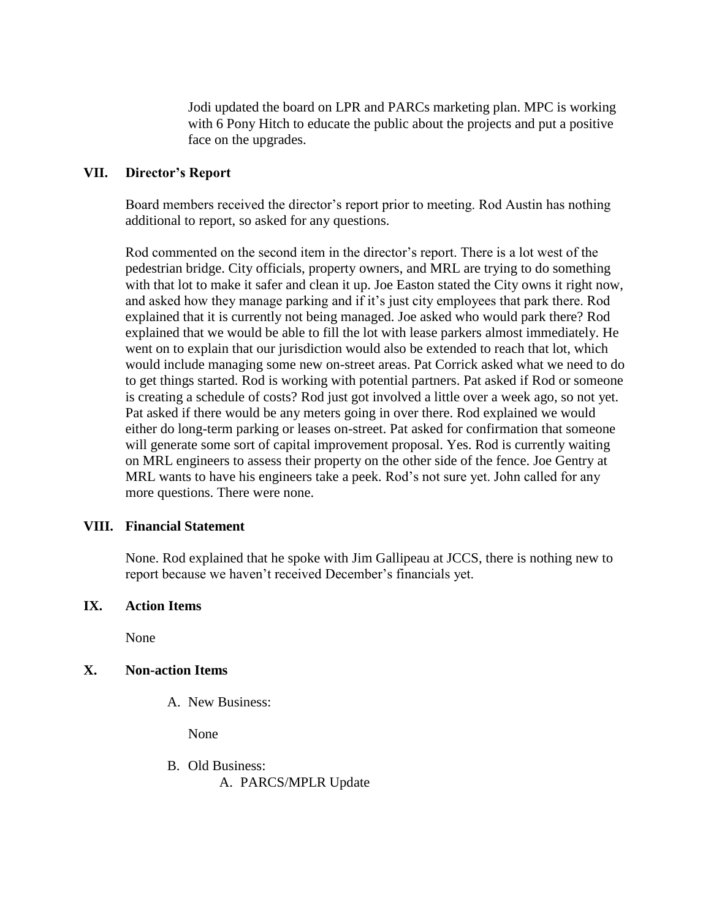Jodi updated the board on LPR and PARCs marketing plan. MPC is working with 6 Pony Hitch to educate the public about the projects and put a positive face on the upgrades.

#### **VII. Director's Report**

Board members received the director's report prior to meeting. Rod Austin has nothing additional to report, so asked for any questions.

Rod commented on the second item in the director's report. There is a lot west of the pedestrian bridge. City officials, property owners, and MRL are trying to do something with that lot to make it safer and clean it up. Joe Easton stated the City owns it right now, and asked how they manage parking and if it's just city employees that park there. Rod explained that it is currently not being managed. Joe asked who would park there? Rod explained that we would be able to fill the lot with lease parkers almost immediately. He went on to explain that our jurisdiction would also be extended to reach that lot, which would include managing some new on-street areas. Pat Corrick asked what we need to do to get things started. Rod is working with potential partners. Pat asked if Rod or someone is creating a schedule of costs? Rod just got involved a little over a week ago, so not yet. Pat asked if there would be any meters going in over there. Rod explained we would either do long-term parking or leases on-street. Pat asked for confirmation that someone will generate some sort of capital improvement proposal. Yes. Rod is currently waiting on MRL engineers to assess their property on the other side of the fence. Joe Gentry at MRL wants to have his engineers take a peek. Rod's not sure yet. John called for any more questions. There were none.

# **VIII. Financial Statement**

None. Rod explained that he spoke with Jim Gallipeau at JCCS, there is nothing new to report because we haven't received December's financials yet.

#### **IX. Action Items**

None

# **X. Non-action Items**

A. New Business:

None

B. Old Business: A. PARCS/MPLR Update